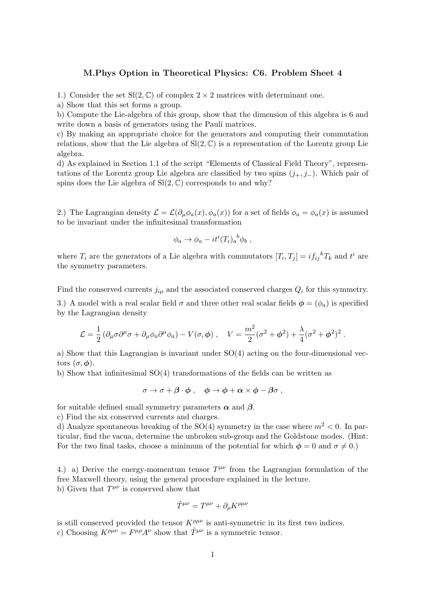## M.Phys Option in Theoretical Physics: C6. Problem Sheet 4

1.) Consider the set  $\text{SI}(2,\mathbb{C})$  of complex  $2 \times 2$  matrices with determinant one.

a) Show that this set forms a group.

b) Compute the Lie-algebra of this group, show that the dimension of this algebra is 6 and write down a basis of generators using the Pauli matrices.

c) By making an appropriate choice for the generators and computing their commutation relations, show that the Lie algebra of  $\text{Sl}(2,\mathbb{C})$  is a representation of the Lorentz group Lie algebra.

d) As explained in Section 1.1 of the script "Elements of Classical Field Theory", representations of the Lorentz group Lie algebra are classified by two spins  $(j_{+}, j_{-})$ . Which pair of spins does the Lie algebra of  $Sl(2,\mathbb{C})$  corresponds to and why?

2.) The Lagrangian density  $\mathcal{L} = \mathcal{L}(\partial_{\mu} \phi_a(x), \phi_a(x))$  for a set of fields  $\phi_a = \phi_a(x)$  is assumed to be invariant under the infinitesimal transformation

$$
\phi_a \to \phi_a - i t^i (T_i)_a{}^b \phi_b ,
$$

where  $T_i$  are the generators of a Lie algebra with commutators  $[T_i, T_j] = i f_{ij}{}^k T_k$  and  $t^i$  are the symmetry parameters.

Find the conserved currents  $j_{i\mu}$  and the associated conserved charges  $Q_i$  for this symmetry.

3.) A model with a real scalar field  $\sigma$  and three other real scalar fields  $\phi = (\phi_a)$  is specified by the Lagrangian density

$$
\mathcal{L} = \frac{1}{2} \left( \partial_{\mu} \sigma \partial^{\mu} \sigma + \partial_{\mu} \phi_{a} \partial^{\mu} \phi_{a} \right) - V(\sigma, \phi) , \quad V = \frac{m^2}{2} (\sigma^2 + \phi^2) + \frac{\lambda}{4} (\sigma^2 + \phi^2)^2 .
$$

a) Show that this Lagrangian is invariant under SO(4) acting on the four-dimensional vectors  $(\sigma, \phi)$ .

b) Show that infinitesimal SO(4) transformations of the fields can be written as

 $\sigma \to \sigma + \beta \cdot \phi$ ,  $\phi \to \phi + \alpha \times \phi - \beta \sigma$ ,

for suitable defined small symmetry parameters  $\alpha$  and  $\beta$ .

c) Find the six conserved currents and charges.

d) Analyze spontaneous breaking of the SO(4) symmetry in the case where  $m^2 < 0$ . In particular, find the vacua, determine the unbroken sub-group and the Goldstone modes. (Hint: For the two final tasks, choose a minimum of the potential for which  $\phi = 0$  and  $\sigma \neq 0$ .)

4.) a) Derive the energy-momentum tensor  $T^{\mu\nu}$  from the Lagrangian formulation of the free Maxwell theory, using the general procedure explained in the lecture. b) Given that  $T^{\mu\nu}$  is conserved show that

$$
\tilde{T}^{\mu\nu} = T^{\mu\nu} + \partial_{\rho} K^{\rho\mu\nu}
$$

is still conserved provided the tensor  $K^{\rho\mu\nu}$  is anti-symmetric in its first two indices. c) Choosing  $K^{\rho\mu\nu} = F^{\mu\rho}A^{\nu}$  show that  $\tilde{T}^{\mu\nu}$  is a symmetric tensor.